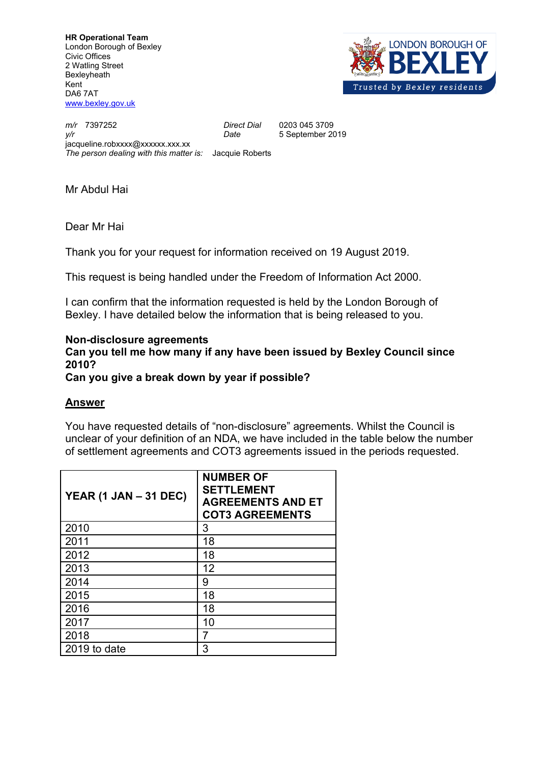**HR Operational Team** London Borough of Bexley Civic Offices 2 Watling Street **Bexleyheath** Kent DA6 7AT [www.bexley.gov.uk](http://www.bexley.gov.uk)



*m/r* 7397252 *Direct Dial* 0203 045 3709 *y/r Date* 5 September 2019 jacqueline.robxxxx@xxxxxx.xxx.xx *The person dealing with this matter is:* Jacquie Roberts

Mr Abdul Hai

Dear Mr Hai

Thank you for your request for information received on 19 August 2019.

This request is being handled under the Freedom of Information Act 2000.

I can confirm that the information requested is held by the London Borough of Bexley. I have detailed below the information that is being released to you.

## **Non-disclosure agreements**

**Can you tell me how many if any have been issued by Bexley Council since 2010?** 

**Can you give a break down by year if possible?**

## **Answer**

You have requested details of "non-disclosure" agreements. Whilst the Council is unclear of your definition of an NDA, we have included in the table below the number of settlement agreements and COT3 agreements issued in the periods requested.

| YEAR (1 JAN $-$ 31 DEC) | <b>NUMBER OF</b><br><b>SETTLEMENT</b><br><b>AGREEMENTS AND ET</b><br><b>COT3 AGREEMENTS</b> |
|-------------------------|---------------------------------------------------------------------------------------------|
| 2010                    | 3                                                                                           |
| 2011                    | 18                                                                                          |
| 2012                    | 18                                                                                          |
| 2013                    | 12                                                                                          |
| 2014                    | 9                                                                                           |
| 2015                    | 18                                                                                          |
| 2016                    | 18                                                                                          |
| 2017                    | 10                                                                                          |
| 2018                    | 7                                                                                           |
| 2019 to date            | 3                                                                                           |